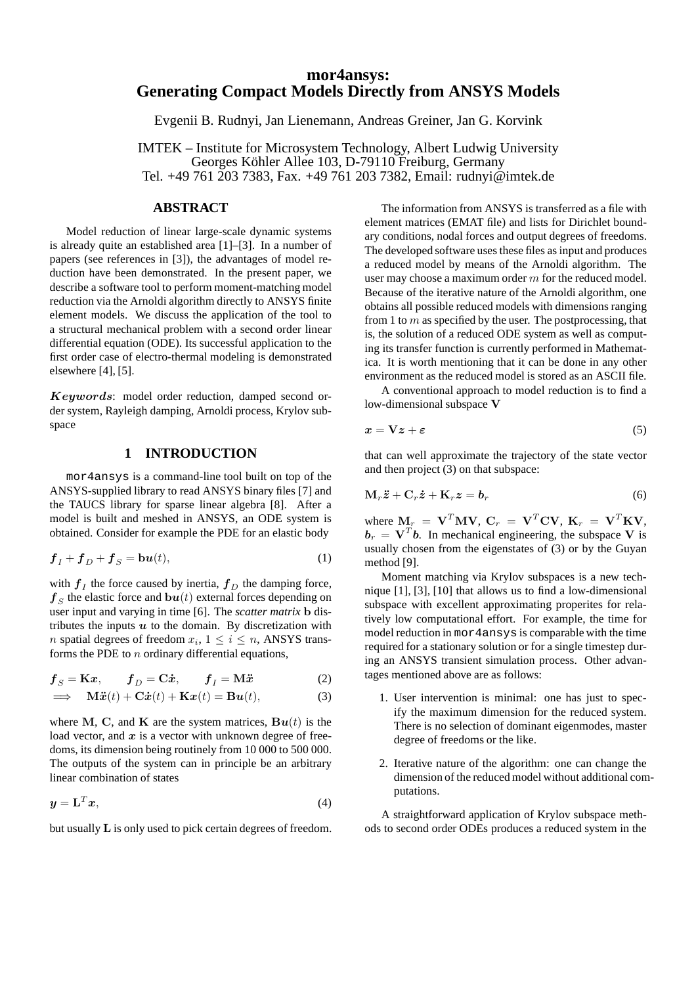# **mor4ansys: Generating Compact Models Directly from ANSYS Models**

Evgenii B. Rudnyi, Jan Lienemann, Andreas Greiner, Jan G. Korvink

IMTEK – Institute for Microsystem Technology, Albert Ludwig University Georges Köhler Allee 103, D-79110 Freiburg, Germany Tel. +49 761 203 7383, Fax. +49 761 203 7382, Email: rudnyi@imtek.de

### **ABSTRACT**

Model reduction of linear large-scale dynamic systems is already quite an established area [1]–[3]. In a number of papers (see references in [3]), the advantages of model reduction have been demonstrated. In the present paper, we describe a software tool to perform moment-matching model reduction via the Arnoldi algorithm directly to ANSYS finite element models. We discuss the application of the tool to a structural mechanical problem with a second order linear differential equation (ODE). Its successful application to the first order case of electro-thermal modeling is demonstrated elsewhere [4], [5].

Keywords: model order reduction, damped second order system, Rayleigh damping, Arnoldi process, Krylov subspace

### **1 INTRODUCTION**

mor4ansys is a command-line tool built on top of the ANSYS-supplied library to read ANSYS binary files [7] and the TAUCS library for sparse linear algebra [8]. After a model is built and meshed in ANSYS, an ODE system is obtained. Consider for example the PDE for an elastic body

$$
\boldsymbol{f}_I + \boldsymbol{f}_D + \boldsymbol{f}_S = \mathbf{b}\boldsymbol{u}(t),\tag{1}
$$

with  $f_I$  the force caused by inertia,  $f_D$  the damping force,  $\boldsymbol{f}_{S}$  the elastic force and  $\boldsymbol{b}\boldsymbol{u}(t)$  external forces depending on user input and varying in time [6]. The *scatter matrix* b distributes the inputs  $u$  to the domain. By discretization with *n* spatial degrees of freedom  $x_i$ ,  $1 \le i \le n$ , ANSYS transforms the PDE to  $n$  ordinary differential equations,

$$
\boldsymbol{f}_{S} = \mathbf{K}\boldsymbol{x}, \qquad \boldsymbol{f}_{D} = \mathbf{C}\dot{\boldsymbol{x}}, \qquad \boldsymbol{f}_{I} = \mathbf{M}\ddot{\boldsymbol{x}} \tag{2}
$$

$$
\implies \mathbf{M}\ddot{\mathbf{x}}(t) + \mathbf{C}\dot{\mathbf{x}}(t) + \mathbf{K}\mathbf{x}(t) = \mathbf{B}\mathbf{u}(t),
$$
\n(3)

where M, C, and K are the system matrices,  $\mathbf{B}\boldsymbol{u}(t)$  is the load vector, and  $x$  is a vector with unknown degree of freedoms, its dimension being routinely from 10 000 to 500 000. The outputs of the system can in principle be an arbitrary linear combination of states

$$
y = \mathbf{L}^T x,\tag{4}
$$

but usually L is only used to pick certain degrees of freedom.

The information from ANSYS is transferred as a file with element matrices (EMAT file) and lists for Dirichlet boundary conditions, nodal forces and output degrees of freedoms. The developed software uses these files as input and produces a reduced model by means of the Arnoldi algorithm. The user may choose a maximum order m for the reduced model. Because of the iterative nature of the Arnoldi algorithm, one obtains all possible reduced models with dimensions ranging from 1 to  $m$  as specified by the user. The postprocessing, that is, the solution of a reduced ODE system as well as computing its transfer function is currently performed in Mathematica. It is worth mentioning that it can be done in any other environment as the reduced model is stored as an ASCII file.

A conventional approach to model reduction is to find a low-dimensional subspace V

$$
x = \nabla z + \varepsilon \tag{5}
$$

that can well approximate the trajectory of the state vector and then project (3) on that subspace:

$$
\mathbf{M}_r \ddot{\mathbf{z}} + \mathbf{C}_r \dot{\mathbf{z}} + \mathbf{K}_r \mathbf{z} = \mathbf{b}_r \tag{6}
$$

where  $\mathbf{M}_r = \mathbf{V}^T \mathbf{M} \mathbf{V}$ ,  $\mathbf{C}_r = \mathbf{V}^T \mathbf{C} \mathbf{V}$ ,  $\mathbf{K}_r = \mathbf{V}^T \mathbf{K} \mathbf{V}$ ,  $\mathbf{b}_r = \mathbf{V}^T \mathbf{b}$ . In mechanical engineering, the subspace V is usually chosen from the eigenstates of (3) or by the Guyan method [9].

Moment matching via Krylov subspaces is a new technique [1], [3], [10] that allows us to find a low-dimensional subspace with excellent approximating properites for relatively low computational effort. For example, the time for model reduction in mor4ansys is comparable with the time required for a stationary solution or for a single timestep during an ANSYS transient simulation process. Other advantages mentioned above are as follows:

- 1. User intervention is minimal: one has just to specify the maximum dimension for the reduced system. There is no selection of dominant eigenmodes, master degree of freedoms or the like.
- 2. Iterative nature of the algorithm: one can change the dimension of the reduced model without additional computations.

A straightforward application of Krylov subspace methods to second order ODEs produces a reduced system in the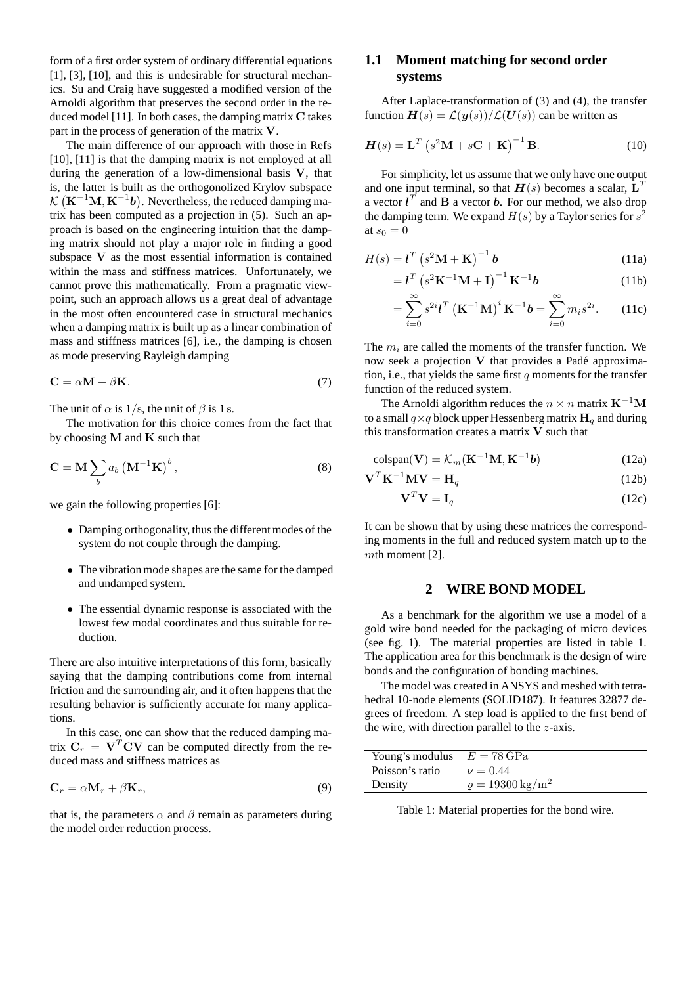form of a first order system of ordinary differential equations [1], [3], [10], and this is undesirable for structural mechanics. Su and Craig have suggested a modified version of the Arnoldi algorithm that preserves the second order in the reduced model [11]. In both cases, the damping matrix C takes part in the process of generation of the matrix V.

The main difference of our approach with those in Refs [10], [11] is that the damping matrix is not employed at all during the generation of a low-dimensional basis V, that is, the latter is built as the orthogonolized Krylov subspace  $\mathcal{K} (\mathbf{K}^{-1} \mathbf{M}, \mathbf{K}^{-1} \mathbf{b})$ . Nevertheless, the reduced damping matrix has been computed as a projection in (5). Such an approach is based on the engineering intuition that the damping matrix should not play a major role in finding a good subspace V as the most essential information is contained within the mass and stiffness matrices. Unfortunately, we cannot prove this mathematically. From a pragmatic viewpoint, such an approach allows us a great deal of advantage in the most often encountered case in structural mechanics when a damping matrix is built up as a linear combination of mass and stiffness matrices [6], i.e., the damping is chosen as mode preserving Rayleigh damping

$$
C = \alpha M + \beta K. \tag{7}
$$

The unit of  $\alpha$  is 1/s, the unit of  $\beta$  is 1 s.

The motivation for this choice comes from the fact that by choosing  $M$  and  $K$  such that

$$
\mathbf{C} = \mathbf{M} \sum_{b} a_b \left( \mathbf{M}^{-1} \mathbf{K} \right)^b, \tag{8}
$$

we gain the following properties [6]:

- Damping orthogonality, thus the different modes of the system do not couple through the damping.
- The vibration mode shapes are the same for the damped and undamped system.
- The essential dynamic response is associated with the lowest few modal coordinates and thus suitable for reduction.

There are also intuitive interpretations of this form, basically saying that the damping contributions come from internal friction and the surrounding air, and it often happens that the resulting behavior is sufficiently accurate for many applications.

In this case, one can show that the reduced damping matrix  $C_r = V^T CV$  can be computed directly from the reduced mass and stiffness matrices as

$$
\mathbf{C}_r = \alpha \mathbf{M}_r + \beta \mathbf{K}_r,\tag{9}
$$

that is, the parameters  $\alpha$  and  $\beta$  remain as parameters during the model order reduction process.

# **1.1 Moment matching for second order systems**

After Laplace-transformation of (3) and (4), the transfer function  $H(s) = \mathcal{L}(\mathbf{y}(s))/\mathcal{L}(\mathbf{U}(s))$  can be written as

$$
H(s) = \mathbf{L}^T \left( s^2 \mathbf{M} + s \mathbf{C} + \mathbf{K} \right)^{-1} \mathbf{B}.
$$
 (10)

For simplicity, let us assume that we only have one output and one input terminal, so that  $H(s)$  becomes a scalar,  $L<sup>T</sup>$ a vector  $l^T$  and **B** a vector **b**. For our method, we also drop the damping term. We expand  $H(s)$  by a Taylor series for  $s^2$ at  $s_0 = 0$ 

$$
H(s) = \mathbf{l}^T \left( s^2 \mathbf{M} + \mathbf{K} \right)^{-1} \mathbf{b}
$$
 (11a)

$$
=l^{T}\left(s^{2}\mathbf{K}^{-1}\mathbf{M}+\mathbf{I}\right)^{-1}\mathbf{K}^{-1}\boldsymbol{b}\tag{11b}
$$

$$
= \sum_{i=0}^{\infty} s^{2i} \mathbf{l}^{T} \left( \mathbf{K}^{-1} \mathbf{M} \right)^{i} \mathbf{K}^{-1} \mathbf{b} = \sum_{i=0}^{\infty} m_{i} s^{2i}.
$$
 (11c)

The  $m_i$  are called the moments of the transfer function. We now seek a projection  $V$  that provides a Padé approximation, i.e., that yields the same first  $q$  moments for the transfer function of the reduced system.

The Arnoldi algorithm reduces the  $n \times n$  matrix  $\text{K}^{-1}\text{M}$ to a small  $q \times q$  block upper Hessenberg matrix  $H_q$  and during this transformation creates a matrix V such that

$$
\text{colspan}(\mathbf{V}) = \mathcal{K}_m(\mathbf{K}^{-1}\mathbf{M}, \mathbf{K}^{-1}\mathbf{b})
$$
\n(12a)

$$
\mathbf{V}^T \mathbf{K}^{-1} \mathbf{M} \mathbf{V} = \mathbf{H}_q \tag{12b}
$$

$$
\mathbf{V}^T \mathbf{V} = \mathbf{I}_q \tag{12c}
$$

It can be shown that by using these matrices the corresponding moments in the full and reduced system match up to the mth moment [2].

#### **2 WIRE BOND MODEL**

As a benchmark for the algorithm we use a model of a gold wire bond needed for the packaging of micro devices (see fig. 1). The material properties are listed in table 1. The application area for this benchmark is the design of wire bonds and the configuration of bonding machines.

The model was created in ANSYS and meshed with tetrahedral 10-node elements (SOLID187). It features 32877 degrees of freedom. A step load is applied to the first bend of the wire, with direction parallel to the z-axis.

| Young's modulus | $E = 78 \text{ GPa}$             |
|-----------------|----------------------------------|
| Poisson's ratio | $\nu = 0.44$                     |
| Density         | $\rho = 19300 \,\mathrm{kg/m^2}$ |
|                 |                                  |

Table 1: Material properties for the bond wire.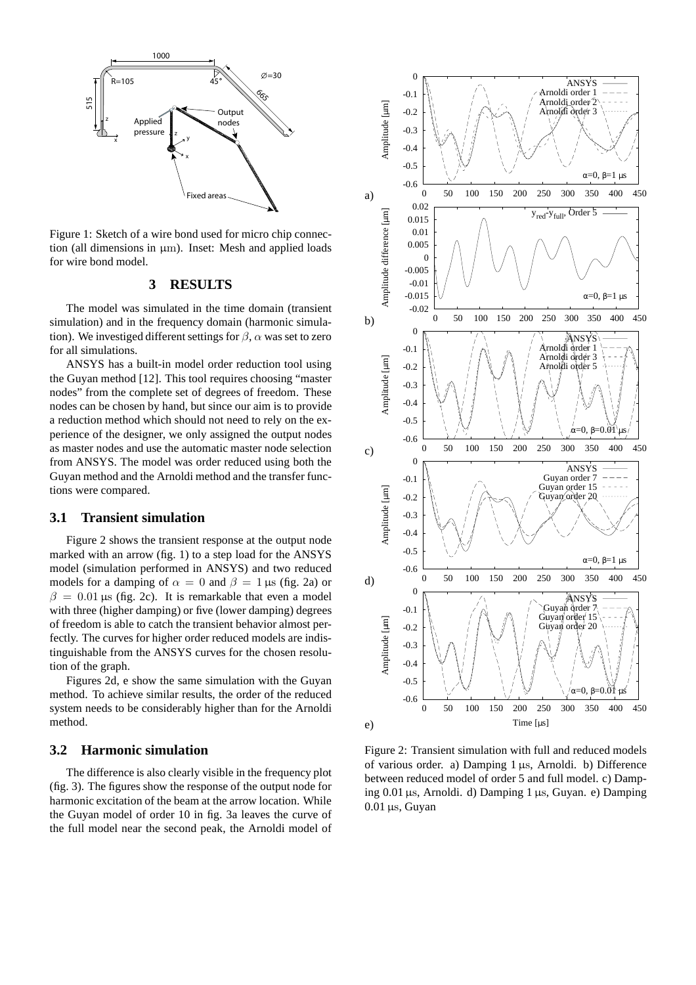

Figure 1: Sketch of a wire bond used for micro chip connection (all dimensions in  $\mu$ m). Inset: Mesh and applied loads for wire bond model.

# **3 RESULTS**

The model was simulated in the time domain (transient simulation) and in the frequency domain (harmonic simulation). We investiged different settings for  $\beta$ ,  $\alpha$  was set to zero for all simulations.

ANSYS has a built-in model order reduction tool using the Guyan method [12]. This tool requires choosing "master nodes" from the complete set of degrees of freedom. These nodes can be chosen by hand, but since our aim is to provide a reduction method which should not need to rely on the experience of the designer, we only assigned the output nodes as master nodes and use the automatic master node selection from ANSYS. The model was order reduced using both the Guyan method and the Arnoldi method and the transfer functions were compared.

### **3.1 Transient simulation**

Figure 2 shows the transient response at the output node marked with an arrow (fig. 1) to a step load for the ANSYS model (simulation performed in ANSYS) and two reduced models for a damping of  $\alpha = 0$  and  $\beta = 1 \,\mu s$  (fig. 2a) or  $β = 0.01 \mu s$  (fig. 2c). It is remarkable that even a model with three (higher damping) or five (lower damping) degrees of freedom is able to catch the transient behavior almost perfectly. The curves for higher order reduced models are indistinguishable from the ANSYS curves for the chosen resolution of the graph.

Figures 2d, e show the same simulation with the Guyan method. To achieve similar results, the order of the reduced system needs to be considerably higher than for the Arnoldi method.

### **3.2 Harmonic simulation**

The difference is also clearly visible in the frequency plot (fig. 3). The figures show the response of the output node for harmonic excitation of the beam at the arrow location. While the Guyan model of order 10 in fig. 3a leaves the curve of the full model near the second peak, the Arnoldi model of



Figure 2: Transient simulation with full and reduced models of various order. a) Damping 1 µs, Arnoldi. b) Difference between reduced model of order 5 and full model. c) Damping 0.01µs, Arnoldi. d) Damping 1 µs, Guyan. e) Damping  $0.01 \,\mu s$ , Guyan